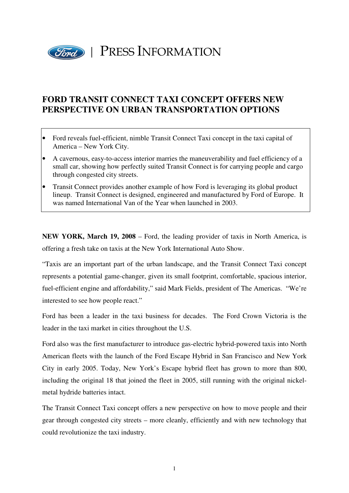

## **FORD TRANSIT CONNECT TAXI CONCEPT OFFERS NEW PERSPECTIVE ON URBAN TRANSPORTATION OPTIONS**

- Ford reveals fuel-efficient, nimble Transit Connect Taxi concept in the taxi capital of America – New York City.
- A cavernous, easy-to-access interior marries the maneuverability and fuel efficiency of a small car, showing how perfectly suited Transit Connect is for carrying people and cargo through congested city streets.
- Transit Connect provides another example of how Ford is leveraging its global product lineup. Transit Connect is designed, engineered and manufactured by Ford of Europe. It was named International Van of the Year when launched in 2003.

**NEW YORK, March 19, 2008** – Ford, the leading provider of taxis in North America, is offering a fresh take on taxis at the New York International Auto Show.

"Taxis are an important part of the urban landscape, and the Transit Connect Taxi concept represents a potential game-changer, given its small footprint, comfortable, spacious interior, fuel-efficient engine and affordability," said Mark Fields, president of The Americas. "We're interested to see how people react."

Ford has been a leader in the taxi business for decades. The Ford Crown Victoria is the leader in the taxi market in cities throughout the U.S.

Ford also was the first manufacturer to introduce gas-electric hybrid-powered taxis into North American fleets with the launch of the Ford Escape Hybrid in San Francisco and New York City in early 2005. Today, New York's Escape hybrid fleet has grown to more than 800, including the original 18 that joined the fleet in 2005, still running with the original nickelmetal hydride batteries intact.

The Transit Connect Taxi concept offers a new perspective on how to move people and their gear through congested city streets – more cleanly, efficiently and with new technology that could revolutionize the taxi industry.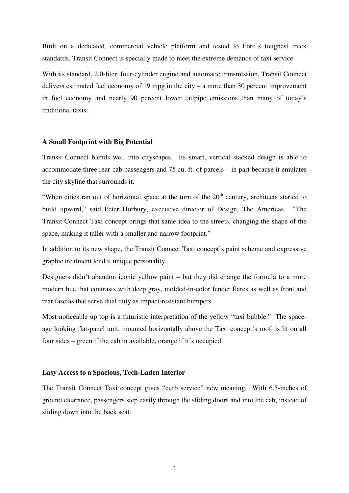Built on a dedicated, commercial vehicle platform and tested to Ford's toughest truck standards, Transit Connect is specially made to meet the extreme demands of taxi service.

With its standard, 2.0-liter, four-cylinder engine and automatic transmission, Transit Connect delivers estimated fuel economy of 19 mpg in the city – a more than 30 percent improvement in fuel economy and nearly 90 percent lower tailpipe emissions than many of today's traditional taxis.

## **A Small Footprint with Big Potential**

Transit Connect blends well into cityscapes. Its smart, vertical stacked design is able to accommodate three rear-cab passengers and 75 cu. ft. of parcels – in part because it emulates the city skyline that surrounds it.

"When cities ran out of horizontal space at the turn of the  $20<sup>th</sup>$  century, architects started to build upward," said Peter Horbury, executive director of Design, The Americas. "The Transit Connect Taxi concept brings that same idea to the streets, changing the shape of the space, making it taller with a smaller and narrow footprint."

In addition to its new shape, the Transit Connect Taxi concept's paint scheme and expressive graphic treatment lend it unique personality.

Designers didn't abandon iconic yellow paint – but they did change the formula to a more modern hue that contrasts with deep gray, molded-in-color fender flares as well as front and rear fascias that serve dual duty as impact-resistant bumpers.

Most noticeable up top is a futuristic interpretation of the yellow "taxi bubble." The spaceage looking flat-panel unit, mounted horizontally above the Taxi concept's roof, is lit on all four sides – green if the cab in available, orange if it's occupied.

## **Easy Access to a Spacious, Tech-Laden Interior**

The Transit Connect Taxi concept gives "curb service" new meaning. With 6.5-inches of ground clearance, passengers step easily through the sliding doors and into the cab, instead of sliding down into the back seat.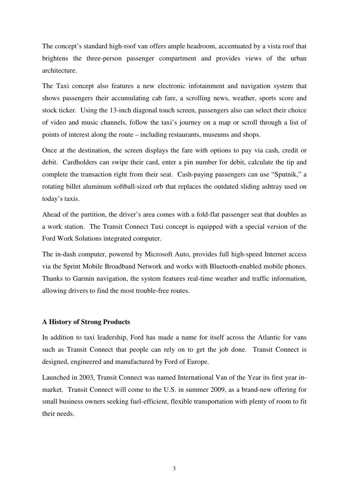The concept's standard high-roof van offers ample headroom, accentuated by a vista roof that brightens the three-person passenger compartment and provides views of the urban architecture.

The Taxi concept also features a new electronic infotainment and navigation system that shows passengers their accumulating cab fare, a scrolling news, weather, sports score and stock ticker. Using the 13-inch diagonal touch screen, passengers also can select their choice of video and music channels, follow the taxi's journey on a map or scroll through a list of points of interest along the route – including restaurants, museums and shops.

Once at the destination, the screen displays the fare with options to pay via cash, credit or debit. Cardholders can swipe their card, enter a pin number for debit, calculate the tip and complete the transaction right from their seat. Cash-paying passengers can use "Sputnik," a rotating billet aluminum softball-sized orb that replaces the outdated sliding ashtray used on today's taxis.

Ahead of the partition, the driver's area comes with a fold-flat passenger seat that doubles as a work station. The Transit Connect Taxi concept is equipped with a special version of the Ford Work Solutions integrated computer.

The in-dash computer, powered by Microsoft Auto, provides full high-speed Internet access via the Sprint Mobile Broadband Network and works with Bluetooth-enabled mobile phones. Thanks to Garmin navigation, the system features real-time weather and traffic information, allowing drivers to find the most trouble-free routes.

## **A History of Strong Products**

In addition to taxi leadership, Ford has made a name for itself across the Atlantic for vans such as Transit Connect that people can rely on to get the job done. Transit Connect is designed, engineered and manufactured by Ford of Europe.

Launched in 2003, Transit Connect was named International Van of the Year its first year inmarket. Transit Connect will come to the U.S. in summer 2009, as a brand-new offering for small business owners seeking fuel-efficient, flexible transportation with plenty of room to fit their needs.